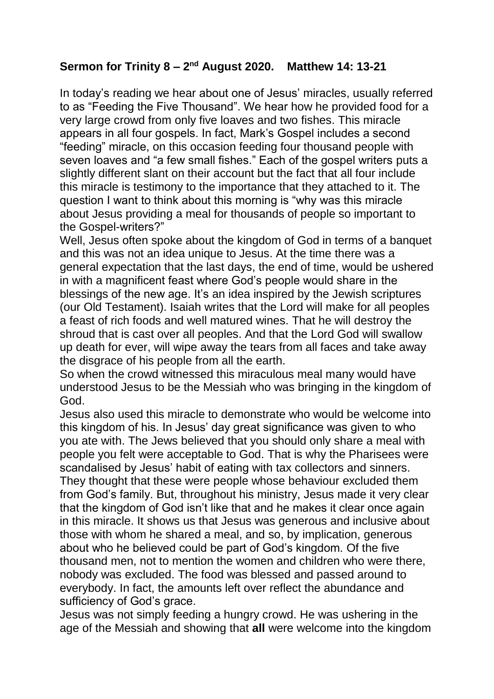## **Sermon for Trinity 8 – 2 nd August 2020. Matthew 14: 13-21**

In today's reading we hear about one of Jesus' miracles, usually referred to as "Feeding the Five Thousand". We hear how he provided food for a very large crowd from only five loaves and two fishes. This miracle appears in all four gospels. In fact, Mark's Gospel includes a second "feeding" miracle, on this occasion feeding four thousand people with seven loaves and "a few small fishes." Each of the gospel writers puts a slightly different slant on their account but the fact that all four include this miracle is testimony to the importance that they attached to it. The question I want to think about this morning is "why was this miracle about Jesus providing a meal for thousands of people so important to the Gospel-writers?"

Well, Jesus often spoke about the kingdom of God in terms of a banquet and this was not an idea unique to Jesus. At the time there was a general expectation that the last days, the end of time, would be ushered in with a magnificent feast where God's people would share in the blessings of the new age. It's an idea inspired by the Jewish scriptures (our Old Testament). Isaiah writes that the Lord will make for all peoples a feast of rich foods and well matured wines. That he will destroy the shroud that is cast over all peoples. And that the Lord God will swallow up death for ever, will wipe away the tears from all faces and take away the disgrace of his people from all the earth.

So when the crowd witnessed this miraculous meal many would have understood Jesus to be the Messiah who was bringing in the kingdom of God.

Jesus also used this miracle to demonstrate who would be welcome into this kingdom of his. In Jesus' day great significance was given to who you ate with. The Jews believed that you should only share a meal with people you felt were acceptable to God. That is why the Pharisees were scandalised by Jesus' habit of eating with tax collectors and sinners. They thought that these were people whose behaviour excluded them from God's family. But, throughout his ministry, Jesus made it very clear that the kingdom of God isn't like that and he makes it clear once again in this miracle. It shows us that Jesus was generous and inclusive about those with whom he shared a meal, and so, by implication, generous about who he believed could be part of God's kingdom. Of the five thousand men, not to mention the women and children who were there, nobody was excluded. The food was blessed and passed around to everybody. In fact, the amounts left over reflect the abundance and sufficiency of God's grace.

Jesus was not simply feeding a hungry crowd. He was ushering in the age of the Messiah and showing that **all** were welcome into the kingdom